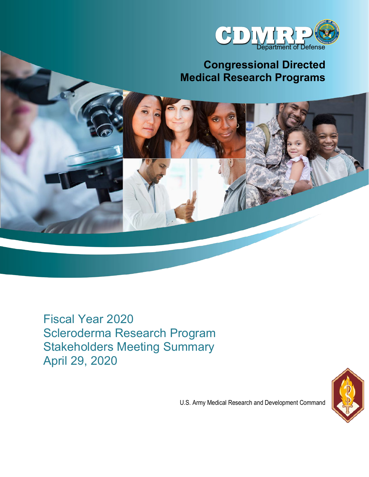

# **Congressional Directed Medical Research Programs**

Fiscal Year 2020 Scleroderma Research Program Stakeholders Meeting Summary April 29, 2020



U.S. Army Medical Research and Development Command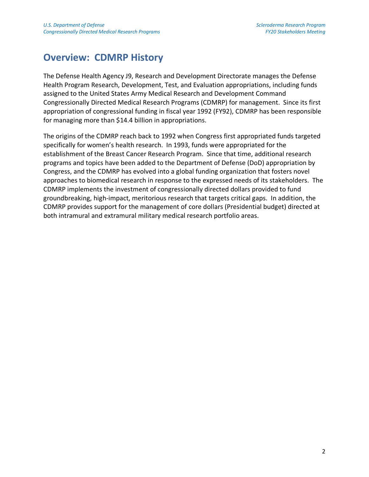## **Overview: CDMRP History**

The Defense Health Agency J9, Research and Development Directorate manages the Defense Health Program Research, Development, Test, and Evaluation appropriations, including funds assigned to the United States Army Medical Research and Development Command Congressionally Directed Medical Research Programs (CDMRP) for management. Since its first appropriation of congressional funding in fiscal year 1992 (FY92), CDMRP has been responsible for managing more than \$14.4 billion in appropriations.

The origins of the CDMRP reach back to 1992 when Congress first appropriated funds targeted specifically for women's health research. In 1993, funds were appropriated for the establishment of the Breast Cancer Research Program. Since that time, additional research programs and topics have been added to the Department of Defense (DoD) appropriation by Congress, and the CDMRP has evolved into a global funding organization that fosters novel approaches to biomedical research in response to the expressed needs of its stakeholders. The CDMRP implements the investment of congressionally directed dollars provided to fund groundbreaking, high-impact, meritorious research that targets critical gaps. In addition, the CDMRP provides support for the management of core dollars (Presidential budget) directed at both intramural and extramural military medical research portfolio areas.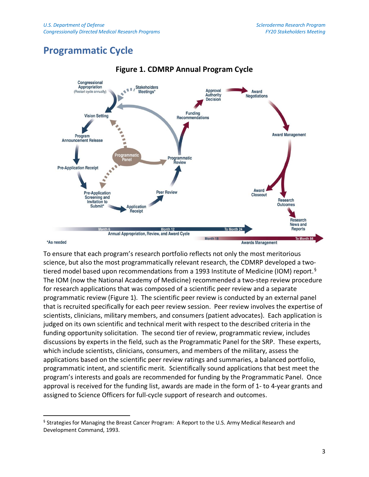## **Programmatic Cycle**



#### **Figure 1. CDMRP Annual Program Cycle**

#### \*As needed

To ensure that each program's research portfolio reflects not only the most meritorious science, but also the most programmatically relevant research, the CDMRP developed a two-tiered model based upon recommendations from a 1993 Institute of Medicine (IOM) report.<sup>[§](#page-2-0)</sup> The IOM (now the National Academy of Medicine) recommended a two-step review procedure for research applications that was composed of a scientific peer review and a separate programmatic review (Figure 1). The scientific peer review is conducted by an external panel that is recruited specifically for each peer review session. Peer review involves the expertise of scientists, clinicians, military members, and consumers (patient advocates). Each application is judged on its own scientific and technical merit with respect to the described criteria in the funding opportunity solicitation. The second tier of review, programmatic review, includes discussions by experts in the field, such as the Programmatic Panel for the SRP. These experts, which include scientists, clinicians, consumers, and members of the military, assess the applications based on the scientific peer review ratings and summaries, a balanced portfolio, programmatic intent, and scientific merit. Scientifically sound applications that best meet the program's interests and goals are recommended for funding by the Programmatic Panel. Once approval is received for the funding list, awards are made in the form of 1- to 4-year grants and assigned to Science Officers for full-cycle support of research and outcomes.

<span id="page-2-0"></span><sup>§</sup> Strategies for Managing the Breast Cancer Program: A Report to the U.S. Army Medical Research and Development Command, 1993.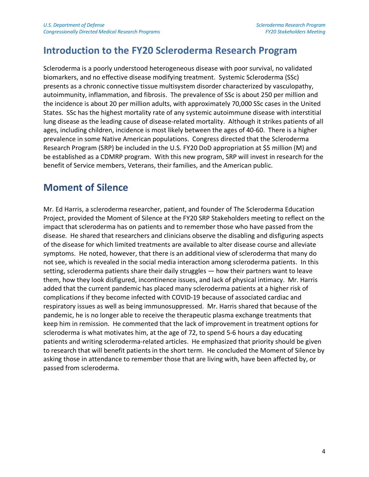### **Introduction to the FY20 Scleroderma Research Program**

Scleroderma is a poorly understood heterogeneous disease with poor survival, no validated biomarkers, and no effective disease modifying treatment. Systemic Scleroderma (SSc) presents as a chronic connective tissue multisystem disorder characterized by vasculopathy, autoimmunity, inflammation, and fibrosis. The prevalence of SSc is about 250 per million and the incidence is about 20 per million adults, with approximately 70,000 SSc cases in the United States. SSc has the highest mortality rate of any systemic autoimmune disease with interstitial lung disease as the leading cause of disease-related mortality. Although it strikes patients of all ages, including children, incidence is most likely between the ages of 40-60. There is a higher prevalence in some Native American populations. Congress directed that the Scleroderma Research Program (SRP) be included in the U.S. FY20 DoD appropriation at \$5 million (M) and be established as a CDMRP program. With this new program, SRP will invest in research for the benefit of Service members, Veterans, their families, and the American public.

### **Moment of Silence**

Mr. Ed Harris, a scleroderma researcher, patient, and founder of The Scleroderma Education Project, provided the Moment of Silence at the FY20 SRP Stakeholders meeting to reflect on the impact that scleroderma has on patients and to remember those who have passed from the disease. He shared that researchers and clinicians observe the disabling and disfiguring aspects of the disease for which limited treatments are available to alter disease course and alleviate symptoms. He noted, however, that there is an additional view of scleroderma that many do not see, which is revealed in the social media interaction among scleroderma patients. In this setting, scleroderma patients share their daily struggles — how their partners want to leave them, how they look disfigured, incontinence issues, and lack of physical intimacy. Mr. Harris added that the current pandemic has placed many scleroderma patients at a higher risk of complications if they become infected with COVID-19 because of associated cardiac and respiratory issues as well as being immunosuppressed. Mr. Harris shared that because of the pandemic, he is no longer able to receive the therapeutic plasma exchange treatments that keep him in remission. He commented that the lack of improvement in treatment options for scleroderma is what motivates him, at the age of 72, to spend 5-6 hours a day educating patients and writing scleroderma-related articles. He emphasized that priority should be given to research that will benefit patients in the short term. He concluded the Moment of Silence by asking those in attendance to remember those that are living with, have been affected by, or passed from scleroderma.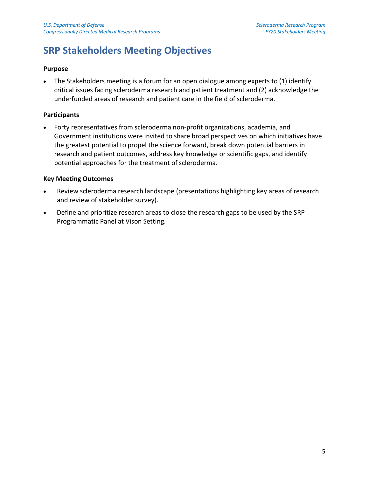## **SRP Stakeholders Meeting Objectives**

#### **Purpose**

The Stakeholders meeting is a forum for an open dialogue among experts to (1) identify critical issues facing scleroderma research and patient treatment and (2) acknowledge the underfunded areas of research and patient care in the field of scleroderma.

#### **Participants**

• Forty representatives from scleroderma non-profit organizations, academia, and Government institutions were invited to share broad perspectives on which initiatives have the greatest potential to propel the science forward, break down potential barriers in research and patient outcomes, address key knowledge or scientific gaps, and identify potential approaches for the treatment of scleroderma.

#### **Key Meeting Outcomes**

- Review scleroderma research landscape (presentations highlighting key areas of research and review of stakeholder survey).
- Define and prioritize research areas to close the research gaps to be used by the SRP Programmatic Panel at Vison Setting.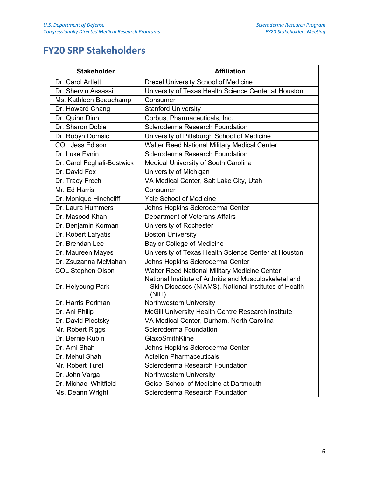## **FY20 SRP Stakeholders**

| <b>Stakeholder</b>         | <b>Affiliation</b>                                                                                                       |  |
|----------------------------|--------------------------------------------------------------------------------------------------------------------------|--|
| Dr. Carol Artlett          | <b>Drexel University School of Medicine</b>                                                                              |  |
| Dr. Shervin Assassi        | University of Texas Health Science Center at Houston                                                                     |  |
| Ms. Kathleen Beauchamp     | Consumer                                                                                                                 |  |
| Dr. Howard Chang           | <b>Stanford University</b>                                                                                               |  |
| Dr. Quinn Dinh             | Corbus, Pharmaceuticals, Inc.                                                                                            |  |
| Dr. Sharon Dobie           | Scleroderma Research Foundation                                                                                          |  |
| Dr. Robyn Domsic           | University of Pittsburgh School of Medicine                                                                              |  |
| <b>COL Jess Edison</b>     | <b>Walter Reed National Military Medical Center</b>                                                                      |  |
| Dr. Luke Evnin             | Scleroderma Research Foundation                                                                                          |  |
| Dr. Carol Feghali-Bostwick | <b>Medical University of South Carolina</b>                                                                              |  |
| Dr. David Fox              | University of Michigan                                                                                                   |  |
| Dr. Tracy Frech            | VA Medical Center, Salt Lake City, Utah                                                                                  |  |
| Mr. Ed Harris              | Consumer                                                                                                                 |  |
| Dr. Monique Hinchcliff     | <b>Yale School of Medicine</b>                                                                                           |  |
| Dr. Laura Hummers          | Johns Hopkins Scleroderma Center                                                                                         |  |
| Dr. Masood Khan            | Department of Veterans Affairs                                                                                           |  |
| Dr. Benjamin Korman        | University of Rochester                                                                                                  |  |
| Dr. Robert Lafyatis        | <b>Boston University</b>                                                                                                 |  |
| Dr. Brendan Lee            | <b>Baylor College of Medicine</b>                                                                                        |  |
| Dr. Maureen Mayes          | University of Texas Health Science Center at Houston                                                                     |  |
| Dr. Zsuzanna McMahan       | Johns Hopkins Scleroderma Center                                                                                         |  |
| <b>COL Stephen Olson</b>   | <b>Walter Reed National Military Medicine Center</b>                                                                     |  |
| Dr. Heiyoung Park          | National Institute of Arthritis and Musculoskeletal and<br>Skin Diseases (NIAMS), National Institutes of Health<br>(NIH) |  |
| Dr. Harris Perlman         | Northwestern University                                                                                                  |  |
| Dr. Ani Philip             | McGill University Health Centre Research Institute                                                                       |  |
| Dr. David Piestsky         | VA Medical Center, Durham, North Carolina                                                                                |  |
| Mr. Robert Riggs           | <b>Scleroderma Foundation</b>                                                                                            |  |
| Dr. Bernie Rubin           | GlaxoSmithKline                                                                                                          |  |
| Dr. Ami Shah               | Johns Hopkins Scleroderma Center                                                                                         |  |
| Dr. Mehul Shah             | <b>Actelion Pharmaceuticals</b>                                                                                          |  |
| Mr. Robert Tufel           | Scleroderma Research Foundation                                                                                          |  |
| Dr. John Varga             | Northwestern University                                                                                                  |  |
| Dr. Michael Whitfield      | Geisel School of Medicine at Dartmouth                                                                                   |  |
| Ms. Deann Wright           | <b>Scleroderma Research Foundation</b>                                                                                   |  |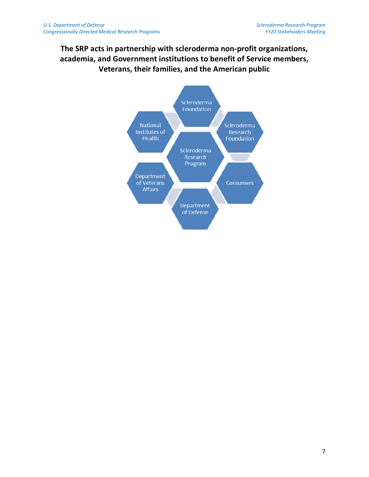### **The SRP acts in partnership with scleroderma non-profit organizations, academia, and Government institutions to benefit of Service members, Veterans, their families, and the American public**

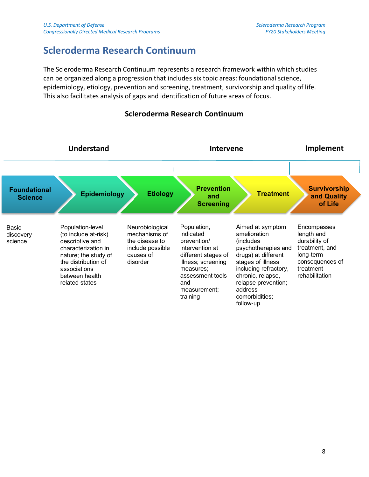### **Scleroderma Research Continuum**

The Scleroderma Research Continuum represents a research framework within which studies can be organized along a progression that includes six topic areas: foundational science, epidemiology, etiology, prevention and screening, treatment, survivorship and quality of life. This also facilitates analysis of gaps and identification of future areas of focus.



### **Scleroderma Research Continuum**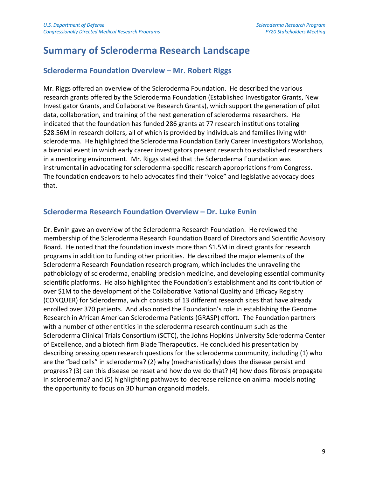### **Summary of Scleroderma Research Landscape**

#### **Scleroderma Foundation Overview – Mr. Robert Riggs**

Mr. Riggs offered an overview of the Scleroderma Foundation. He described the various research grants offered by the Scleroderma Foundation (Established Investigator Grants, New Investigator Grants, and Collaborative Research Grants), which support the generation of pilot data, collaboration, and training of the next generation of scleroderma researchers. He indicated that the foundation has funded 286 grants at 77 research institutions totaling \$28.56M in research dollars, all of which is provided by individuals and families living with scleroderma. He highlighted the Scleroderma Foundation Early Career Investigators Workshop, a biennial event in which early career investigators present research to established researchers in a mentoring environment. Mr. Riggs stated that the Scleroderma Foundation was instrumental in advocating for scleroderma-specific research appropriations from Congress. The foundation endeavors to help advocates find their "voice" and legislative advocacy does that.

#### **Scleroderma Research Foundation Overview – Dr. Luke Evnin**

Dr. Evnin gave an overview of the Scleroderma Research Foundation. He reviewed the membership of the Scleroderma Research Foundation Board of Directors and Scientific Advisory Board. He noted that the foundation invests more than \$1.5M in direct grants for research programs in addition to funding other priorities. He described the major elements of the Scleroderma Research Foundation research program, which includes the unraveling the pathobiology of scleroderma, enabling precision medicine, and developing essential community scientific platforms. He also highlighted the Foundation's establishment and its contribution of over \$1M to the development of the Collaborative National Quality and Efficacy Registry (CONQUER) for Scleroderma, which consists of 13 different research sites that have already enrolled over 370 patients. And also noted the Foundation's role in establishing the Genome Research in African American Scleroderma Patients (GRASP) effort. The Foundation partners with a number of other entities in the scleroderma research continuum such as the Scleroderma Clinical Trials Consortium (SCTC), the Johns Hopkins University Scleroderma Center of Excellence, and a biotech firm Blade Therapeutics. He concluded his presentation by describing pressing open research questions for the scleroderma community, including (1) who are the "bad cells" in scleroderma? (2) why (mechanistically) does the disease persist and progress? (3) can this disease be reset and how do we do that? (4) how does fibrosis propagate in scleroderma? and (5) highlighting pathways to decrease reliance on animal models noting the opportunity to focus on 3D human organoid models.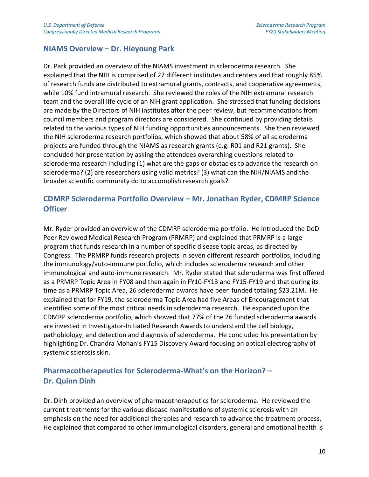#### **NIAMS Overview – Dr. Hieyoung Park**

Dr. Park provided an overview of the NIAMS investment in scleroderma research. She explained that the NIH is comprised of 27 different institutes and centers and that roughly 85% of research funds are distributed to extramural grants, contracts, and cooperative agreements, while 10% fund intramural research. She reviewed the roles of the NIH extramural research team and the overall life cycle of an NIH grant application. She stressed that funding decisions are made by the Directors of NIH institutes after the peer review, but recommendations from council members and program directors are considered. She continued by providing details related to the various types of NIH funding opportunities announcements. She then reviewed the NIH scleroderma research portfolios, which showed that about 58% of all scleroderma projects are funded through the NIAMS as research grants (e.g. R01 and R21 grants). She concluded her presentation by asking the attendees overarching questions related to scleroderma research including (1) what are the gaps or obstacles to advance the research on scleroderma? (2) are researchers using valid metrics? (3) what can the NIH/NIAMS and the broader scientific community do to accomplish research goals?

### **CDMRP Scleroderma Portfolio Overview – Mr. Jonathan Ryder, CDMRP Science Officer**

Mr. Ryder provided an overview of the CDMRP scleroderma portfolio. He introduced the DoD Peer Reviewed Medical Research Program (PRMRP) and explained that PRMRP is a large program that funds research in a number of specific disease topic areas, as directed by Congress. The PRMRP funds research projects in seven different research portfolios, including the immunology/auto-immune portfolio, which includes scleroderma research and other immunological and auto-immune research. Mr. Ryder stated that scleroderma was first offered as a PRMRP Topic Area in FY08 and then again in FY10-FY13 and FY15-FY19 and that during its time as a PRMRP Topic Area, 26 scleroderma awards have been funded totaling \$23.21M. He explained that for FY19, the scleroderma Topic Area had five Areas of Encouragement that identified some of the most critical needs in scleroderma research. He expanded upon the CDMRP scleroderma portfolio, which showed that 77% of the 26 funded scleroderma awards are invested in Investigator-Initiated Research Awards to understand the cell biology, pathobiology, and detection and diagnosis of scleroderma. He concluded his presentation by highlighting Dr. Chandra Mohan's FY15 Discovery Award focusing on optical electrography of systemic sclerosis skin.

### **Pharmacotherapeutics for Scleroderma-What's on the Horizon? – Dr. Quinn Dinh**

Dr. Dinh provided an overview of pharmacotherapeutics for scleroderma. He reviewed the current treatments for the various disease manifestations of systemic sclerosis with an emphasis on the need for additional therapies and research to advance the treatment process. He explained that compared to other immunological disorders, general and emotional health is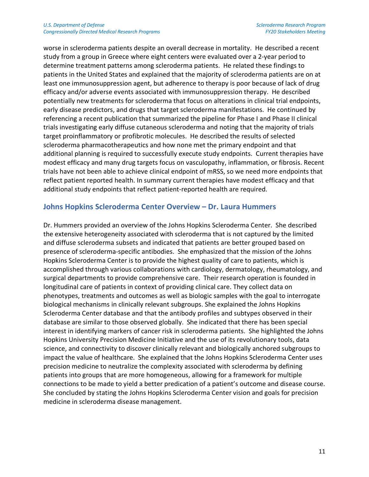worse in scleroderma patients despite an overall decrease in mortality. He described a recent study from a group in Greece where eight centers were evaluated over a 2-year period to determine treatment patterns among scleroderma patients. He related these findings to patients in the United States and explained that the majority of scleroderma patients are on at least one immunosuppression agent, but adherence to therapy is poor because of lack of drug efficacy and/or adverse events associated with immunosuppression therapy. He described potentially new treatments for scleroderma that focus on alterations in clinical trial endpoints, early disease predictors, and drugs that target scleroderma manifestations. He continued by referencing a recent publication that summarized the pipeline for Phase I and Phase II clinical trials investigating early diffuse cutaneous scleroderma and noting that the majority of trials target proinflammatory or profibrotic molecules. He described the results of selected scleroderma pharmacotherapeutics and how none met the primary endpoint and that additional planning is required to successfully execute study endpoints. Current therapies have modest efficacy and many drug targets focus on vasculopathy, inflammation, or fibrosis. Recent trials have not been able to achieve clinical endpoint of mRSS, so we need more endpoints that reflect patient reported health. In summary current therapies have modest efficacy and that additional study endpoints that reflect patient-reported health are required.

#### **Johns Hopkins Scleroderma Center Overview – Dr. Laura Hummers**

Dr. Hummers provided an overview of the Johns Hopkins Scleroderma Center. She described the extensive heterogeneity associated with scleroderma that is not captured by the limited and diffuse scleroderma subsets and indicated that patients are better grouped based on presence of scleroderma-specific antibodies. She emphasized that the mission of the Johns Hopkins Scleroderma Center is to provide the highest quality of care to patients, which is accomplished through various collaborations with cardiology, dermatology, rheumatology, and surgical departments to provide comprehensive care. Their research operation is founded in longitudinal care of patients in context of providing clinical care. They collect data on phenotypes, treatments and outcomes as well as biologic samples with the goal to interrogate biological mechanisms in clinically relevant subgroups. She explained the Johns Hopkins Scleroderma Center database and that the antibody profiles and subtypes observed in their database are similar to those observed globally. She indicated that there has been special interest in identifying markers of cancer risk in scleroderma patients. She highlighted the Johns Hopkins University Precision Medicine Initiative and the use of its revolutionary tools, data science, and connectivity to discover clinically relevant and biologically anchored subgroups to impact the value of healthcare. She explained that the Johns Hopkins Scleroderma Center uses precision medicine to neutralize the complexity associated with scleroderma by defining patients into groups that are more homogeneous, allowing for a framework for multiple connections to be made to yield a better predication of a patient's outcome and disease course. She concluded by stating the Johns Hopkins Scleroderma Center vision and goals for precision medicine in scleroderma disease management.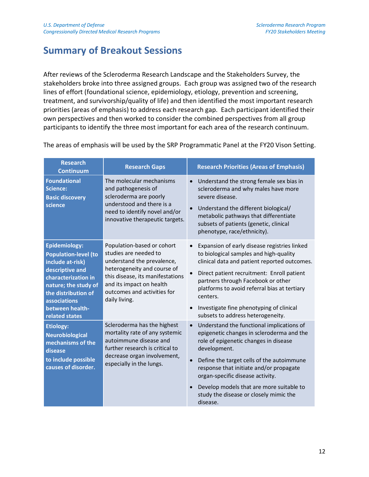### **Summary of Breakout Sessions**

After reviews of the Scleroderma Research Landscape and the Stakeholders Survey, the stakeholders broke into three assigned groups. Each group was assigned two of the research lines of effort (foundational science, epidemiology, etiology, prevention and screening, treatment, and survivorship/quality of life) and then identified the most important research priorities (areas of emphasis) to address each research gap. Each participant identified their own perspectives and then worked to consider the combined perspectives from all group participants to identify the three most important for each area of the research continuum.

| <b>Research</b><br><b>Continuum</b>                                                                                                                                                                                          | <b>Research Gaps</b>                                                                                                                                                                                                             | <b>Research Priorities (Areas of Emphasis)</b>                                                                                                                                                                                                                                                                                                                                |
|------------------------------------------------------------------------------------------------------------------------------------------------------------------------------------------------------------------------------|----------------------------------------------------------------------------------------------------------------------------------------------------------------------------------------------------------------------------------|-------------------------------------------------------------------------------------------------------------------------------------------------------------------------------------------------------------------------------------------------------------------------------------------------------------------------------------------------------------------------------|
| <b>Foundational</b><br>Science:<br><b>Basic discovery</b><br>science                                                                                                                                                         | The molecular mechanisms<br>and pathogenesis of<br>scleroderma are poorly<br>understood and there is a<br>need to identify novel and/or<br>innovative therapeutic targets.                                                       | Understand the strong female sex bias in<br>$\bullet$<br>scleroderma and why males have more<br>severe disease.<br>Understand the different biological/<br>metabolic pathways that differentiate<br>subsets of patients (genetic, clinical<br>phenotype, race/ethnicity).                                                                                                     |
| <b>Epidemiology:</b><br><b>Population-level (to</b><br>include at-risk)<br>descriptive and<br>characterization in<br>nature; the study of<br>the distribution of<br><b>associations</b><br>between health-<br>related states | Population-based or cohort<br>studies are needed to<br>understand the prevalence,<br>heterogeneity and course of<br>this disease, its manifestations<br>and its impact on health<br>outcomes and activities for<br>daily living. | Expansion of early disease registries linked<br>to biological samples and high-quality<br>clinical data and patient reported outcomes.<br>Direct patient recruitment: Enroll patient<br>partners through Facebook or other<br>platforms to avoid referral bias at tertiary<br>centers.<br>Investigate fine phenotyping of clinical<br>subsets to address heterogeneity.       |
| <b>Etiology:</b><br><b>Neurobiological</b><br>mechanisms of the<br>disease<br>to include possible<br>causes of disorder.                                                                                                     | Scleroderma has the highest<br>mortality rate of any systemic<br>autoimmune disease and<br>further research is critical to<br>decrease organ involvement,<br>especially in the lungs.                                            | Understand the functional implications of<br>epigenetic changes in scleroderma and the<br>role of epigenetic changes in disease<br>development.<br>Define the target cells of the autoimmune<br>response that initiate and/or propagate<br>organ-specific disease activity.<br>Develop models that are more suitable to<br>study the disease or closely mimic the<br>disease. |

The areas of emphasis will be used by the SRP Programmatic Panel at the FY20 Vison Setting.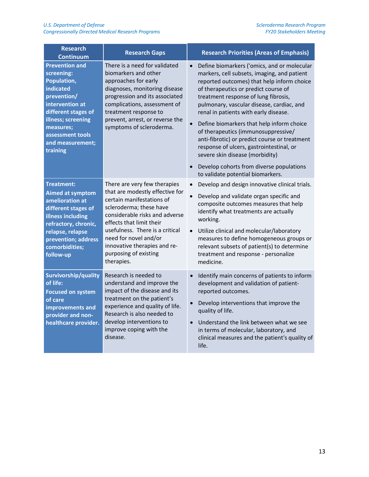| <b>Research</b><br><b>Continuum</b>                                                                                                                                                                                    | <b>Research Gaps</b>                                                                                                                                                                                                                                                                                                     | <b>Research Priorities (Areas of Emphasis)</b>                                                                                                                                                                                                                                                                                                                                                                                                                                                                                                                                              |
|------------------------------------------------------------------------------------------------------------------------------------------------------------------------------------------------------------------------|--------------------------------------------------------------------------------------------------------------------------------------------------------------------------------------------------------------------------------------------------------------------------------------------------------------------------|---------------------------------------------------------------------------------------------------------------------------------------------------------------------------------------------------------------------------------------------------------------------------------------------------------------------------------------------------------------------------------------------------------------------------------------------------------------------------------------------------------------------------------------------------------------------------------------------|
| <b>Prevention and</b><br>screening:<br>Population,<br><b>indicated</b><br>prevention/<br>intervention at<br>different stages of<br>illness; screening<br>measures;<br>assessment tools<br>and measurement;<br>training | There is a need for validated<br>biomarkers and other<br>approaches for early<br>diagnoses, monitoring disease<br>progression and its associated<br>complications, assessment of<br>treatment response to<br>prevent, arrest, or reverse the<br>symptoms of scleroderma.                                                 | Define biomarkers ('omics, and or molecular<br>$\bullet$<br>markers, cell subsets, imaging, and patient<br>reported outcomes) that help inform choice<br>of therapeutics or predict course of<br>treatment response of lung fibrosis,<br>pulmonary, vascular disease, cardiac, and<br>renal in patients with early disease.<br>Define biomarkers that help inform choice<br>of therapeutics (immunosuppressive/<br>anti-fibrotic) or predict course or treatment<br>response of ulcers, gastrointestinal, or<br>severe skin disease (morbidity)<br>Develop cohorts from diverse populations |
| Treatment:<br><b>Aimed at symptom</b><br>amelioration at<br>different stages of<br>illness including<br>refractory, chronic,<br>relapse, relapse<br>prevention; address<br>comorbidities;<br>follow-up                 | There are very few therapies<br>that are modestly effective for<br>certain manifestations of<br>scleroderma; these have<br>considerable risks and adverse<br>effects that limit their<br>usefulness. There is a critical<br>need for novel and/or<br>innovative therapies and re-<br>purposing of existing<br>therapies. | to validate potential biomarkers.<br>Develop and design innovative clinical trials.<br>Develop and validate organ specific and<br>composite outcomes measures that help<br>identify what treatments are actually<br>working.<br>Utilize clinical and molecular/laboratory<br>$\bullet$<br>measures to define homogeneous groups or<br>relevant subsets of patient(s) to determine<br>treatment and response - personalize<br>medicine.                                                                                                                                                      |
| Survivorship/quality<br>of life:<br><b>Focused on system</b><br>of care<br>improvements and<br>provider and non-<br>healthcare provider.                                                                               | Research is needed to<br>understand and improve the<br>impact of the disease and its<br>treatment on the patient's<br>experience and quality of life.<br>Research is also needed to<br>develop interventions to<br>improve coping with the<br>disease.                                                                   | Identify main concerns of patients to inform<br>development and validation of patient-<br>reported outcomes.<br>Develop interventions that improve the<br>quality of life.<br>Understand the link between what we see<br>in terms of molecular, laboratory, and<br>clinical measures and the patient's quality of<br>life.                                                                                                                                                                                                                                                                  |